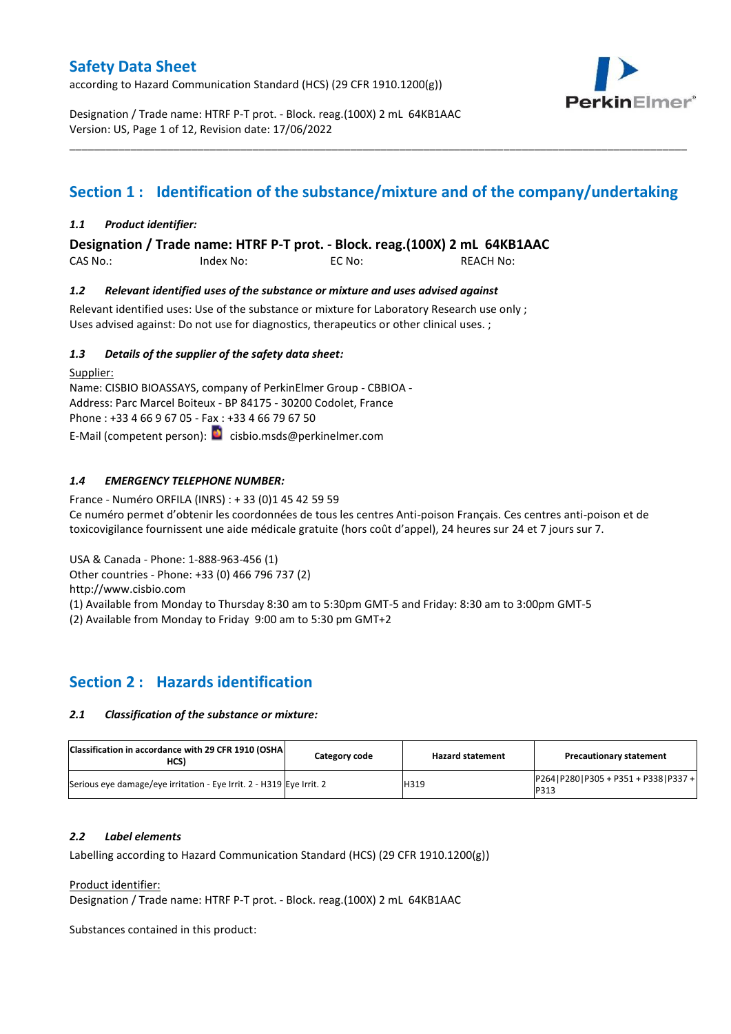according to Hazard Communication Standard (HCS) (29 CFR 1910.1200(g))



Designation / Trade name: HTRF P-T prot. - Block. reag.(100X) 2 mL 64KB1AAC Version: US, Page 1 of 12, Revision date: 17/06/2022

# **Section 1 : Identification of the substance/mixture and of the company/undertaking**

\_\_\_\_\_\_\_\_\_\_\_\_\_\_\_\_\_\_\_\_\_\_\_\_\_\_\_\_\_\_\_\_\_\_\_\_\_\_\_\_\_\_\_\_\_\_\_\_\_\_\_\_\_\_\_\_\_\_\_\_\_\_\_\_\_\_\_\_\_\_\_\_\_\_\_\_\_\_\_\_\_\_\_\_\_\_\_\_\_\_\_\_\_\_\_\_\_\_\_\_\_

### *1.1 Product identifier:*

**Designation / Trade name: HTRF P-T prot. - Block. reag.(100X) 2 mL 64KB1AAC** 

CAS No.: Index No: EC No: REACH No:

### *1.2 Relevant identified uses of the substance or mixture and uses advised against*

Relevant identified uses: Use of the substance or mixture for Laboratory Research use only; Uses advised against: Do not use for diagnostics, therapeutics or other clinical uses. ;

### *1.3 Details of the supplier of the safety data sheet:*

Supplier: Name: CISBIO BIOASSAYS, company of PerkinElmer Group - CBBIOA - Address: Parc Marcel Boiteux - BP 84175 - 30200 Codolet, France Phone : +33 4 66 9 67 05 - Fax : +33 4 66 79 67 50 E-Mail (competent person): **c**isbio.msds@perkinelmer.com

## *1.4 EMERGENCY TELEPHONE NUMBER:*

France - Numéro ORFILA (INRS) : + 33 (0)1 45 42 59 59 Ce numéro permet d'obtenir les coordonnées de tous les centres Anti-poison Français. Ces centres anti-poison et de toxicovigilance fournissent une aide médicale gratuite (hors coût d'appel), 24 heures sur 24 et 7 jours sur 7.

USA & Canada - Phone: 1-888-963-456 (1)

Other countries - Phone: +33 (0) 466 796 737 (2)

http://www.cisbio.com

(1) Available from Monday to Thursday 8:30 am to 5:30pm GMT-5 and Friday: 8:30 am to 3:00pm GMT-5

(2) Available from Monday to Friday 9:00 am to 5:30 pm GMT+2

## **Section 2 : Hazards identification**

### *2.1 Classification of the substance or mixture:*

| Classification in accordance with 29 CFR 1910 (OSHA)<br>HCS)         | Category code | <b>Hazard statement</b> | <b>Precautionary statement</b>                |
|----------------------------------------------------------------------|---------------|-------------------------|-----------------------------------------------|
| Serious eve damage/eve irritation - Eye Irrit. 2 - H319 Eye Irrit. 2 |               | H319                    | $P264 P280 P305 + P351 + P338 P337 +$<br>P313 |

### *2.2 Label elements*

Labelling according to Hazard Communication Standard (HCS) (29 CFR 1910.1200(g))

### Product identifier:

Designation / Trade name: HTRF P-T prot. - Block. reag.(100X) 2 mL 64KB1AAC

Substances contained in this product: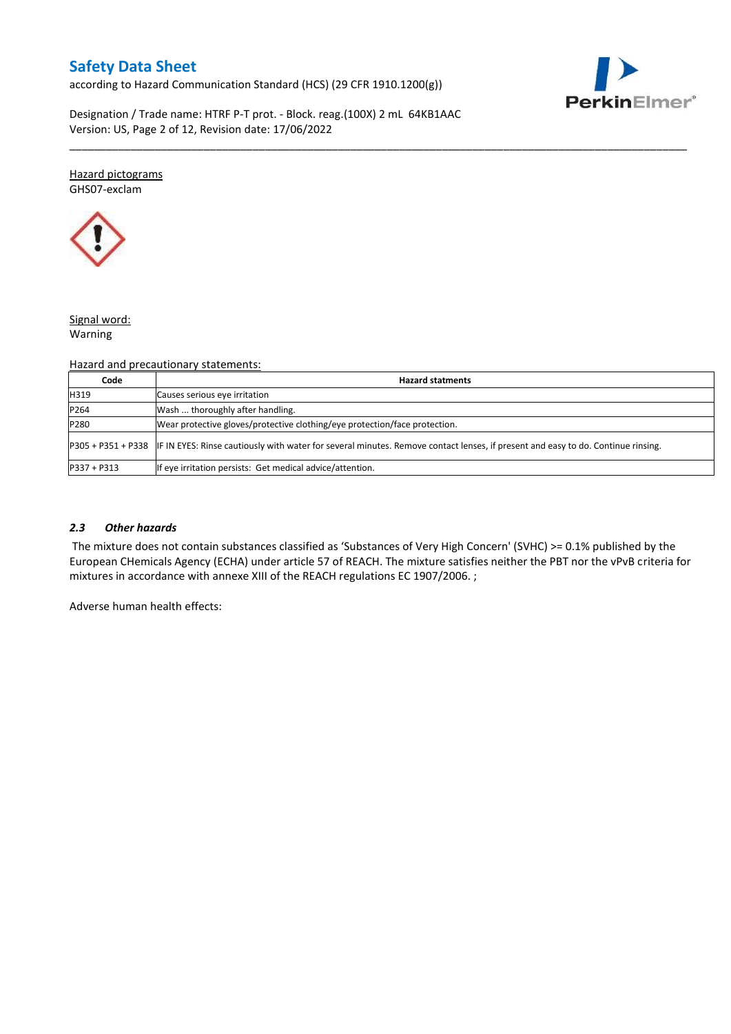according to Hazard Communication Standard (HCS) (29 CFR 1910.1200(g))



Designation / Trade name: HTRF P-T prot. - Block. reag.(100X) 2 mL 64KB1AAC Version: US, Page 2 of 12, Revision date: 17/06/2022

#### Hazard pictograms GHS07-exclam



## Signal word:

Warning

## Hazard and precautionary statements:

| Code        | <b>Hazard statments</b>                                                                                                                             |
|-------------|-----------------------------------------------------------------------------------------------------------------------------------------------------|
| H319        | Causes serious eye irritation                                                                                                                       |
| P264        | Wash  thoroughly after handling.                                                                                                                    |
| P280        | Wear protective gloves/protective clothing/eye protection/face protection.                                                                          |
|             | P305 + P351 + P338 IF IN EYES: Rinse cautiously with water for several minutes. Remove contact lenses, if present and easy to do. Continue rinsing. |
| P337 + P313 | If eye irritation persists: Get medical advice/attention.                                                                                           |

\_\_\_\_\_\_\_\_\_\_\_\_\_\_\_\_\_\_\_\_\_\_\_\_\_\_\_\_\_\_\_\_\_\_\_\_\_\_\_\_\_\_\_\_\_\_\_\_\_\_\_\_\_\_\_\_\_\_\_\_\_\_\_\_\_\_\_\_\_\_\_\_\_\_\_\_\_\_\_\_\_\_\_\_\_\_\_\_\_\_\_\_\_\_\_\_\_\_\_\_\_

## *2.3 Other hazards*

The mixture does not contain substances classified as 'Substances of Very High Concern' (SVHC) >= 0.1% published by the European CHemicals Agency (ECHA) under article 57 of REACH. The mixture satisfies neither the PBT nor the vPvB criteria for mixtures in accordance with annexe XIII of the REACH regulations EC 1907/2006. ;

Adverse human health effects: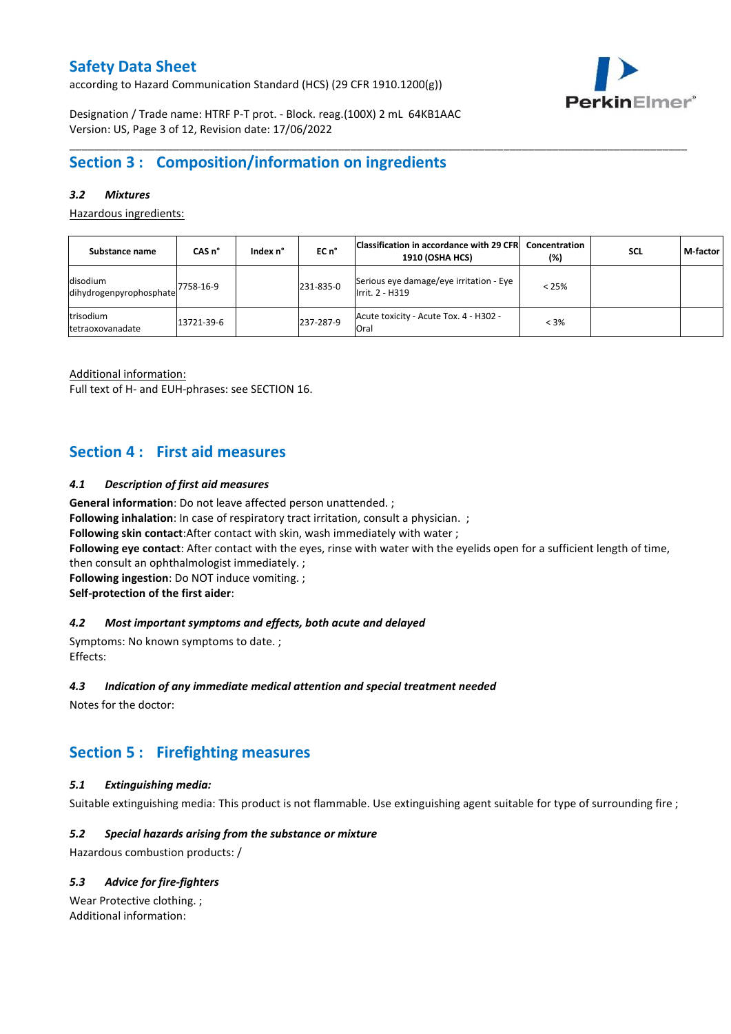according to Hazard Communication Standard (HCS) (29 CFR 1910.1200(g))



Designation / Trade name: HTRF P-T prot. - Block. reag.(100X) 2 mL 64KB1AAC Version: US, Page 3 of 12, Revision date: 17/06/2022

## **Section 3 : Composition/information on ingredients**

## *3.2 Mixtures*

Hazardous ingredients:

| Substance name                        | CAS <sub>n</sub> ° | Index n° | $ECn$ <sup>°</sup> | Classification in accordance with 29 CFR<br><b>1910 (OSHA HCS)</b> | Concentration<br>(%) | <b>SCL</b> | M-factor |
|---------------------------------------|--------------------|----------|--------------------|--------------------------------------------------------------------|----------------------|------------|----------|
| disodium<br>dihydrogenpyrophosphate   | 7758-16-9          |          | 231-835-0          | Serious eye damage/eye irritation - Eye<br>Irrit. 2 - H319         | $< 25\%$             |            |          |
| trisodium<br><b>Itetraoxovanadate</b> | 13721-39-6         |          | 237-287-9          | Acute toxicity - Acute Tox. 4 - H302 -<br>Oral                     | $< 3\%$              |            |          |

\_\_\_\_\_\_\_\_\_\_\_\_\_\_\_\_\_\_\_\_\_\_\_\_\_\_\_\_\_\_\_\_\_\_\_\_\_\_\_\_\_\_\_\_\_\_\_\_\_\_\_\_\_\_\_\_\_\_\_\_\_\_\_\_\_\_\_\_\_\_\_\_\_\_\_\_\_\_\_\_\_\_\_\_\_\_\_\_\_\_\_\_\_\_\_\_\_\_\_\_\_

Additional information:

Full text of H- and EUH-phrases: see SECTION 16.

## **Section 4 : First aid measures**

### *4.1 Description of first aid measures*

**General information**: Do not leave affected person unattended. ;

**Following inhalation**: In case of respiratory tract irritation, consult a physician. ;

**Following skin contact**:After contact with skin, wash immediately with water ;

**Following eye contact**: After contact with the eyes, rinse with water with the eyelids open for a sufficient length of time,

then consult an ophthalmologist immediately. ;

**Following ingestion**: Do NOT induce vomiting. ;

**Self-protection of the first aider**:

### *4.2 Most important symptoms and effects, both acute and delayed*

Symptoms: No known symptoms to date. ; Effects:

### *4.3 Indication of any immediate medical attention and special treatment needed*

Notes for the doctor:

# **Section 5 : Firefighting measures**

## *5.1 Extinguishing media:*

Suitable extinguishing media: This product is not flammable. Use extinguishing agent suitable for type of surrounding fire ;

## *5.2 Special hazards arising from the substance or mixture*

Hazardous combustion products: /

## *5.3 Advice for fire-fighters*

Wear Protective clothing. ; Additional information: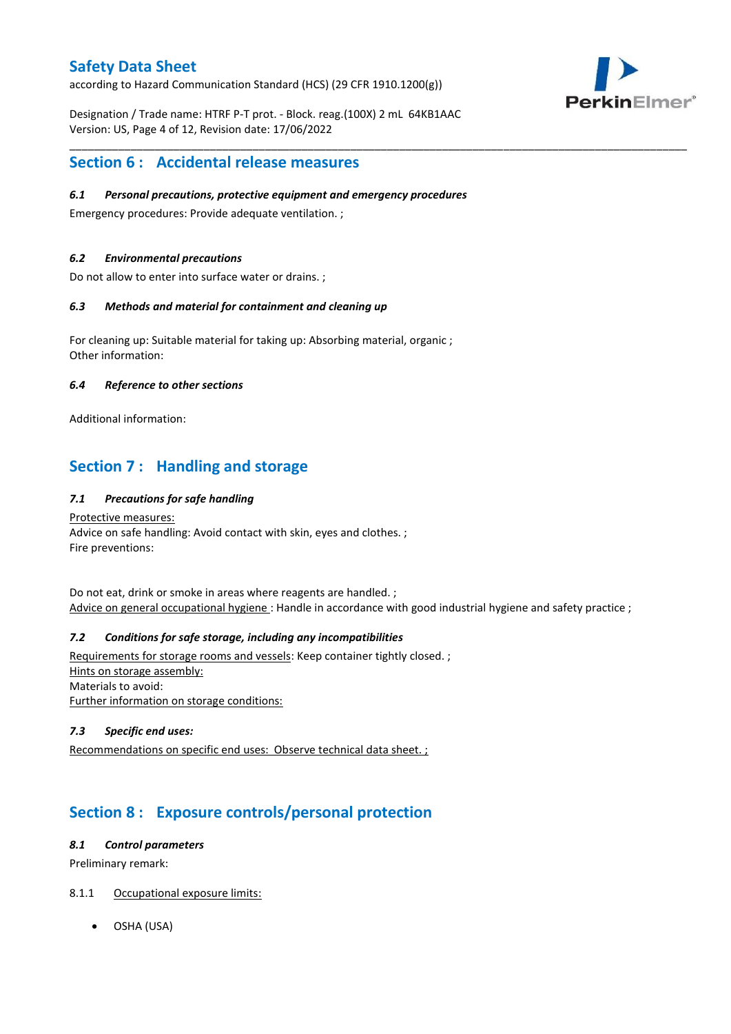according to Hazard Communication Standard (HCS) (29 CFR 1910.1200(g))

PerkinElmer®

Designation / Trade name: HTRF P-T prot. - Block. reag.(100X) 2 mL 64KB1AAC Version: US, Page 4 of 12, Revision date: 17/06/2022

## **Section 6 : Accidental release measures**

## *6.1 Personal precautions, protective equipment and emergency procedures*

Emergency procedures: Provide adequate ventilation. ;

## *6.2 Environmental precautions*

Do not allow to enter into surface water or drains. ;

## *6.3 Methods and material for containment and cleaning up*

For cleaning up: Suitable material for taking up: Absorbing material, organic ; Other information:

## *6.4 Reference to other sections*

Additional information:

# **Section 7 : Handling and storage**

## *7.1 Precautions for safe handling*

### Protective measures: Advice on safe handling: Avoid contact with skin, eyes and clothes. ; Fire preventions:

Do not eat, drink or smoke in areas where reagents are handled. ; Advice on general occupational hygiene : Handle in accordance with good industrial hygiene and safety practice ;

\_\_\_\_\_\_\_\_\_\_\_\_\_\_\_\_\_\_\_\_\_\_\_\_\_\_\_\_\_\_\_\_\_\_\_\_\_\_\_\_\_\_\_\_\_\_\_\_\_\_\_\_\_\_\_\_\_\_\_\_\_\_\_\_\_\_\_\_\_\_\_\_\_\_\_\_\_\_\_\_\_\_\_\_\_\_\_\_\_\_\_\_\_\_\_\_\_\_\_\_\_

## *7.2 Conditions for safe storage, including any incompatibilities*

Requirements for storage rooms and vessels: Keep container tightly closed. ; Hints on storage assembly: Materials to avoid: Further information on storage conditions:

## *7.3 Specific end uses:*

Recommendations on specific end uses: Observe technical data sheet. ;

# **Section 8 : Exposure controls/personal protection**

## *8.1 Control parameters*

Preliminary remark:

## 8.1.1 Occupational exposure limits:

OSHA (USA)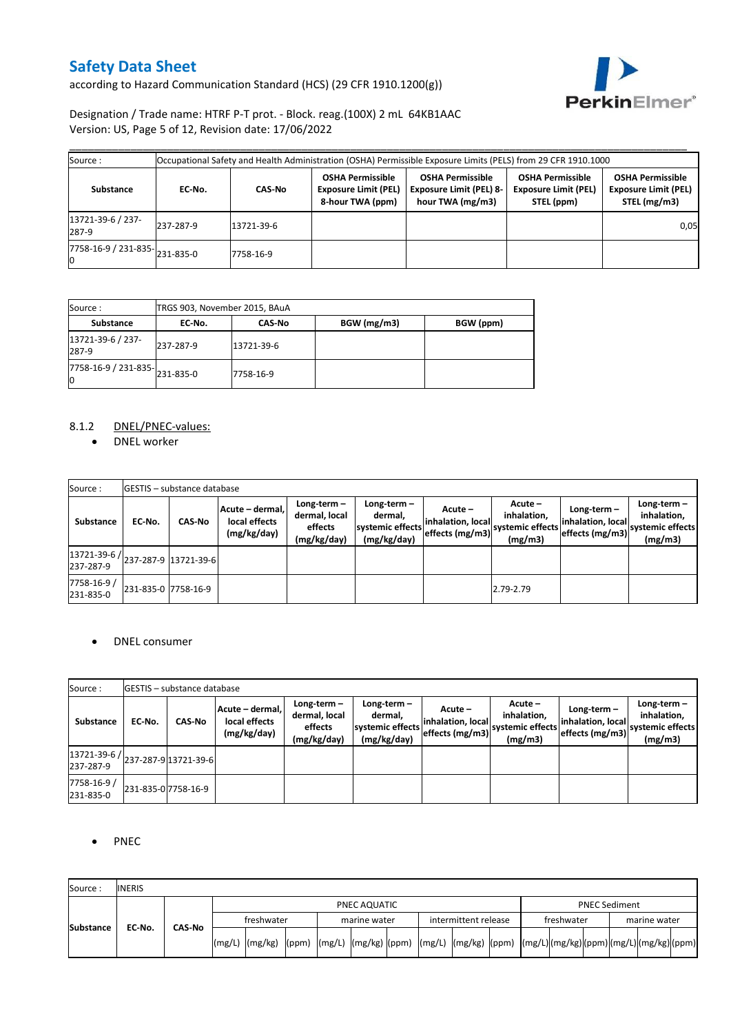according to Hazard Communication Standard (HCS) (29 CFR 1910.1200(g))



Designation / Trade name: HTRF P-T prot. - Block. reag.(100X) 2 mL 64KB1AAC Version: US, Page 5 of 12, Revision date: 17/06/2022

| Source:                            |           |               |                                                                            | Occupational Safety and Health Administration (OSHA) Permissible Exposure Limits (PELS) from 29 CFR 1910.1000 |                                                                      |                                                                        |
|------------------------------------|-----------|---------------|----------------------------------------------------------------------------|---------------------------------------------------------------------------------------------------------------|----------------------------------------------------------------------|------------------------------------------------------------------------|
| Substance                          | EC-No.    | <b>CAS-No</b> | <b>OSHA Permissible</b><br><b>Exposure Limit (PEL)</b><br>8-hour TWA (ppm) | <b>OSHA Permissible</b><br><b>Exposure Limit (PEL) 8-</b><br>hour TWA (mg/m3)                                 | <b>OSHA Permissible</b><br><b>Exposure Limit (PEL)</b><br>STEL (ppm) | <b>OSHA Permissible</b><br><b>Exposure Limit (PEL)</b><br>STEL (mg/m3) |
| 13721-39-6 / 237-<br>287-9         | 237-287-9 | 13721-39-6    |                                                                            |                                                                                                               |                                                                      | 0,05                                                                   |
| 7758-16-9 / 231-835-231-835-0<br>Ю |           | 7758-16-9     |                                                                            |                                                                                                               |                                                                      |                                                                        |

| Source:                                                    | TRGS 903, November 2015, BAuA |               |             |           |  |  |  |  |  |  |
|------------------------------------------------------------|-------------------------------|---------------|-------------|-----------|--|--|--|--|--|--|
| <b>Substance</b>                                           | EC No.                        | <b>CAS-No</b> | BGW (mg/m3) | BGW (ppm) |  |  |  |  |  |  |
| 13721-39-6 / 237-<br>287-9                                 | 237-287-9                     | 13721-39-6    |             |           |  |  |  |  |  |  |
| $\overline{7758}$ -16-9 / 231-835- $\big $ 231-835-0<br>10 |                               | 7758-16-9     |             |           |  |  |  |  |  |  |

## 8.1.2 DNEL/PNEC-values:

• DNEL worker

| Source:                                                |                     | <b>IGESTIS – substance database</b> |                                                 |                                                          |                                                             |                                                                     |                                   |                                    |                                                                                   |
|--------------------------------------------------------|---------------------|-------------------------------------|-------------------------------------------------|----------------------------------------------------------|-------------------------------------------------------------|---------------------------------------------------------------------|-----------------------------------|------------------------------------|-----------------------------------------------------------------------------------|
| Substance                                              | EC-No.              | <b>CAS-No</b>                       | Acute - dermal,<br>local effects<br>(mg/kg/day) | Long-term $-$<br>dermal, local<br>effects<br>(mg/kg/day) | Long-term $-$<br>dermal.<br>systemic effects<br>(mg/kg/day) | Acute –<br>inhalation, local<br>" leffects (mg/m3) systemic effects | Acute -<br>inhalation.<br>(mg/m3) | Long-term $-$<br>inhalation, local | Long-term $-$<br>inhalation,<br>"   effects (mg/m3)   systemic effects<br>(mg/m3) |
| 13721-39-6 / <br> 237-287-9  13721-39-6  <br>237-287-9 |                     |                                     |                                                 |                                                          |                                                             |                                                                     |                                   |                                    |                                                                                   |
| 7758-16-9 /<br>231-835-0                               | 231-835-0 7758-16-9 |                                     |                                                 |                                                          |                                                             |                                                                     | 2.79-2.79                         |                                    |                                                                                   |

## • DNEL consumer

| Source:                                                       |        | <b>IGESTIS – substance database</b> |                                                 |                                                          |                                                             |                                                 |                                                       |                                                    |                                                             |
|---------------------------------------------------------------|--------|-------------------------------------|-------------------------------------------------|----------------------------------------------------------|-------------------------------------------------------------|-------------------------------------------------|-------------------------------------------------------|----------------------------------------------------|-------------------------------------------------------------|
| Substance                                                     | EC-No. | <b>CAS-No</b>                       | Acute - dermal,<br>local effects<br>(mg/kg/day) | Long-term $-$<br>dermal, local<br>effects<br>(mg/kg/day) | Long-term $-$<br>dermal,<br>systemic effects<br>(mg/kg/day) | Acute –<br>inhalation, local<br>effects (mg/m3) | Acute -<br>inhalation.<br>systemic effects<br>(mg/m3) | Long-term-<br>inhalation, local<br>effects (mg/m3) | $Long-term -$<br>inhalation,<br>systemic effects<br>(mg/m3) |
| 13721-39-6 / <sub>237-287-9</sub>   13721-39-6  <br>237-287-9 |        |                                     |                                                 |                                                          |                                                             |                                                 |                                                       |                                                    |                                                             |
| 7758-16-9 /<br>231-835-0                                      |        | 231-835-0 7758-16-9                 |                                                 |                                                          |                                                             |                                                 |                                                       |                                                    |                                                             |

## • PNEC

| Source:          | <b>INERIS</b> |        |              |                                                                                                                                              |  |  |              |  |                      |  |                      |            |  |  |              |  |  |
|------------------|---------------|--------|--------------|----------------------------------------------------------------------------------------------------------------------------------------------|--|--|--------------|--|----------------------|--|----------------------|------------|--|--|--------------|--|--|
|                  |               |        | PNEC AQUATIC |                                                                                                                                              |  |  |              |  |                      |  | <b>PNEC Sediment</b> |            |  |  |              |  |  |
|                  |               |        | freshwater   |                                                                                                                                              |  |  | marine water |  | intermittent release |  |                      | freshwater |  |  | marine water |  |  |
| <b>Substance</b> | EC-No.        | CAS-No |              | $(mg/L)$ $(mg/kg)$ $(mg/kg)$ $(mg/L)$ $(mg/kg)$ $(mg/m)$ $(mg/L)$ $(mg/kg)$ $(mg/m)$ $(mg/L)$ $(mg/kg)$ $(mg/L)$ $(mg/L)$ $(mg/kg)$ $(mg/m)$ |  |  |              |  |                      |  |                      |            |  |  |              |  |  |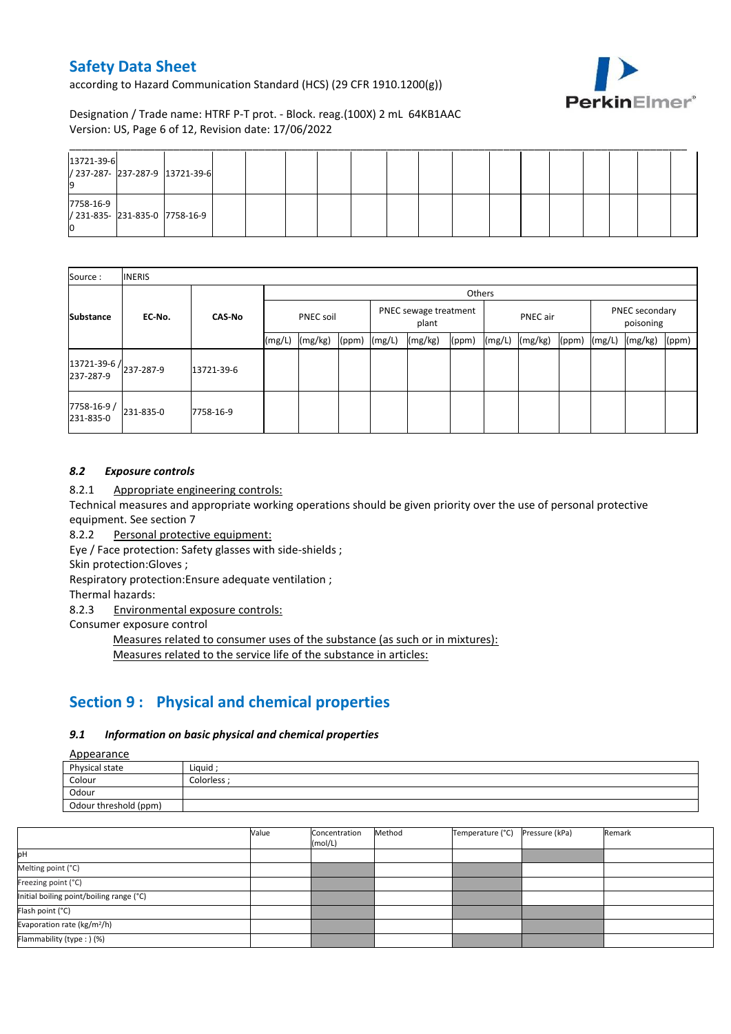according to Hazard Communication Standard (HCS) (29 CFR 1910.1200(g))



Designation / Trade name: HTRF P-T prot. - Block. reag.(100X) 2 mL 64KB1AAC Version: US, Page 6 of 12, Revision date: 17/06/2022

| 13721-39-6<br>/ 237-287- 237-287-9 13721-39-6    |  |  |  |  |  |  |  |  |  |
|--------------------------------------------------|--|--|--|--|--|--|--|--|--|
| 7758-16-9<br>/ 231-835- 231-835-0 7758-16-9<br>Ю |  |  |  |  |  |  |  |  |  |

| Source:                 | <b>INERIS</b>          |               |           |         |       |                                |         |       |          |         |       |                             |         |       |
|-------------------------|------------------------|---------------|-----------|---------|-------|--------------------------------|---------|-------|----------|---------|-------|-----------------------------|---------|-------|
|                         |                        |               | Others    |         |       |                                |         |       |          |         |       |                             |         |       |
| <b>Substance</b>        | EC-No.                 | <b>CAS-No</b> | PNEC soil |         |       | PNEC sewage treatment<br>plant |         |       | PNEC air |         |       | PNEC secondary<br>poisoning |         |       |
|                         |                        |               | (mg/L)    | (mg/kg) | (ppm) | (mg/L)                         | (mg/kg) | (ppm) | (mg/L)   | (mg/kg) | (ppm) | (mg/L)                      | (mg/kg) | (ppm) |
| 237-287-9               | 13721-39-6 / 237-287-9 | 13721-39-6    |           |         |       |                                |         |       |          |         |       |                             |         |       |
| 7758-16-9/<br>231-835-0 | 231-835-0              | 7758-16-9     |           |         |       |                                |         |       |          |         |       |                             |         |       |

## *8.2 Exposure controls*

8.2.1 Appropriate engineering controls:

Technical measures and appropriate working operations should be given priority over the use of personal protective equipment. See section 7

8.2.2 Personal protective equipment:

Eye / Face protection: Safety glasses with side-shields ;

Skin protection:Gloves ;

Respiratory protection:Ensure adequate ventilation ;

Thermal hazards:

8.2.3 Environmental exposure controls:

Consumer exposure control

Measures related to consumer uses of the substance (as such or in mixtures): Measures related to the service life of the substance in articles:

## **Section 9 : Physical and chemical properties**

### *9.1 Information on basic physical and chemical properties*

Appearance

| Physical state        | Liguid      |
|-----------------------|-------------|
| Colour                | Colorless · |
| Odour                 |             |
| Odour threshold (ppm) |             |

|                                          | Value | Concentration<br>(mol/L) | Method | Temperature (°C) | Pressure (kPa) | Remark |
|------------------------------------------|-------|--------------------------|--------|------------------|----------------|--------|
| pH                                       |       |                          |        |                  |                |        |
| Melting point (°C)                       |       |                          |        |                  |                |        |
| Freezing point (°C)                      |       |                          |        |                  |                |        |
| Initial boiling point/boiling range (°C) |       |                          |        |                  |                |        |
| Flash point (°C)                         |       |                          |        |                  |                |        |
| Evaporation rate (kg/m <sup>2</sup> /h)  |       |                          |        |                  |                |        |
| Flammability (type: ) (%)                |       |                          |        |                  |                |        |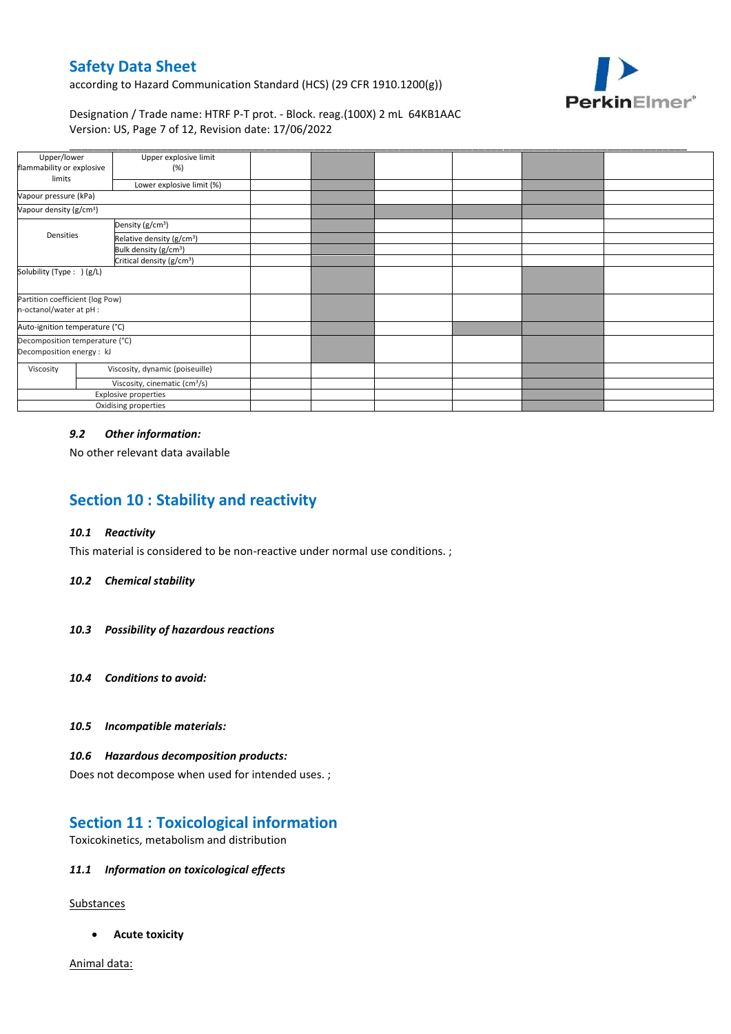according to Hazard Communication Standard (HCS) (29 CFR 1910.1200(g))



### Designation / Trade name: HTRF P-T prot. - Block. reag.(100X) 2 mL 64KB1AAC Version: US, Page 7 of 12, Revision date: 17/06/2022

| Upper/lower                                                | Upper explosive limit                     |  |  |  |
|------------------------------------------------------------|-------------------------------------------|--|--|--|
| flammability or explosive                                  | (%)                                       |  |  |  |
| limits                                                     | Lower explosive limit (%)                 |  |  |  |
| Vapour pressure (kPa)                                      |                                           |  |  |  |
| Vapour density (g/cm <sup>3</sup> )                        |                                           |  |  |  |
|                                                            | Density (g/cm <sup>3</sup> )              |  |  |  |
| Densities                                                  | Relative density (g/cm <sup>3</sup> )     |  |  |  |
|                                                            | Bulk density (g/cm <sup>3</sup> )         |  |  |  |
|                                                            | Critical density (g/cm <sup>3</sup> )     |  |  |  |
| Solubility (Type: ) (g/L)                                  |                                           |  |  |  |
| Partition coefficient (log Pow)<br>n-octanol/water at pH : |                                           |  |  |  |
| Auto-ignition temperature (°C)                             |                                           |  |  |  |
| Decomposition temperature (°C)                             |                                           |  |  |  |
| Decomposition energy : kJ                                  |                                           |  |  |  |
| Viscosity                                                  | Viscosity, dynamic (poiseuille)           |  |  |  |
|                                                            | Viscosity, cinematic (cm <sup>3</sup> /s) |  |  |  |
| Explosive properties                                       |                                           |  |  |  |
|                                                            | Oxidising properties                      |  |  |  |

### *9.2 Other information:*

No other relevant data available

# **Section 10 : Stability and reactivity**

### *10.1 Reactivity*

This material is considered to be non-reactive under normal use conditions. ;

#### *10.2 Chemical stability*

- *10.3 Possibility of hazardous reactions*
- *10.4 Conditions to avoid:*
- *10.5 Incompatible materials:*

#### *10.6 Hazardous decomposition products:*

Does not decompose when used for intended uses. ;

## **Section 11 : Toxicological information**

Toxicokinetics, metabolism and distribution

### *11.1 Information on toxicological effects*

**Substances** 

**Acute toxicity**

Animal data: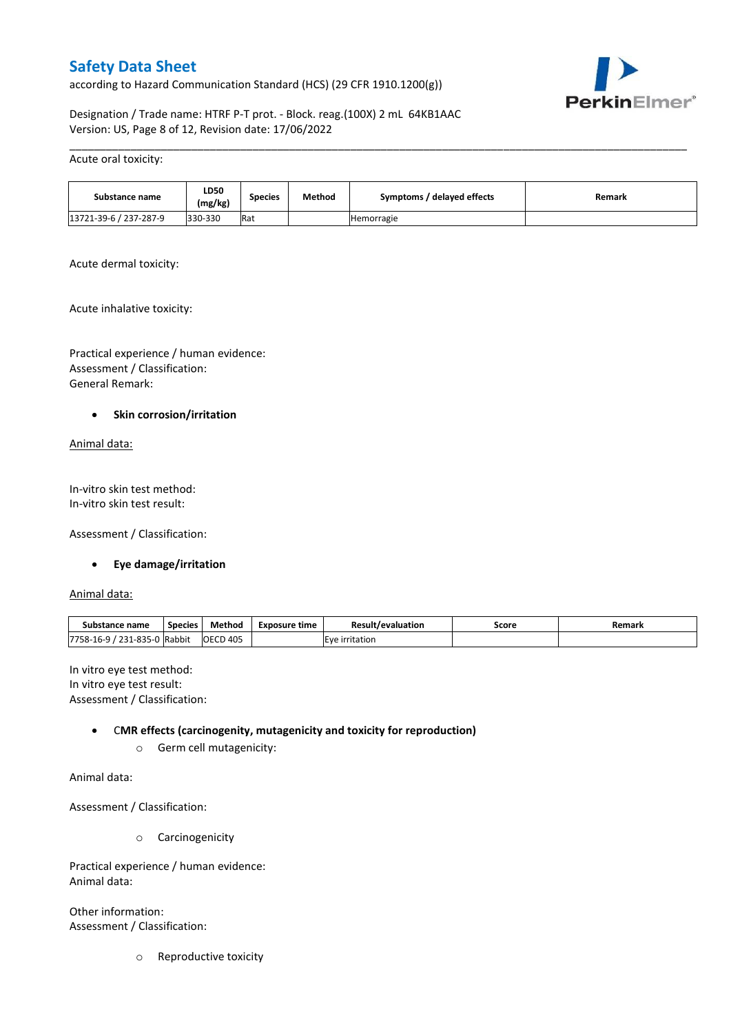according to Hazard Communication Standard (HCS) (29 CFR 1910.1200(g))



Designation / Trade name: HTRF P-T prot. - Block. reag.(100X) 2 mL 64KB1AAC Version: US, Page 8 of 12, Revision date: 17/06/2022

#### Acute oral toxicity:

| Substance name         | <b>LD50</b><br>(mg/kg) | Species | Method | Symptoms / delayed effects | Remark |
|------------------------|------------------------|---------|--------|----------------------------|--------|
| 13721-39-6 / 237-287-9 | 330-330                | Rat     |        | Hemorragie                 |        |

\_\_\_\_\_\_\_\_\_\_\_\_\_\_\_\_\_\_\_\_\_\_\_\_\_\_\_\_\_\_\_\_\_\_\_\_\_\_\_\_\_\_\_\_\_\_\_\_\_\_\_\_\_\_\_\_\_\_\_\_\_\_\_\_\_\_\_\_\_\_\_\_\_\_\_\_\_\_\_\_\_\_\_\_\_\_\_\_\_\_\_\_\_\_\_\_\_\_\_\_\_

Acute dermal toxicity:

Acute inhalative toxicity:

Practical experience / human evidence: Assessment / Classification: General Remark:

### **•** Skin corrosion/irritation

Animal data:

In-vitro skin test method: In-vitro skin test result:

Assessment / Classification:

### **Eye damage/irritation**

Animal data:

| Substance name                    | <b>Species</b> | Method       | Exposure time         | <b>Result/evaluation</b> | Score | Remark |
|-----------------------------------|----------------|--------------|-----------------------|--------------------------|-------|--------|
| 31-835<br>221<br>7758-16-9<br>___ | J Rabbit       | D405<br>OECD | irritation<br>ιFν<br> |                          |       |        |

In vitro eye test method: In vitro eye test result: Assessment / Classification:

### C**MR effects (carcinogenity, mutagenicity and toxicity for reproduction)**

o Germ cell mutagenicity:

Animal data:

Assessment / Classification:

o Carcinogenicity

Practical experience / human evidence: Animal data:

Other information: Assessment / Classification:

o Reproductive toxicity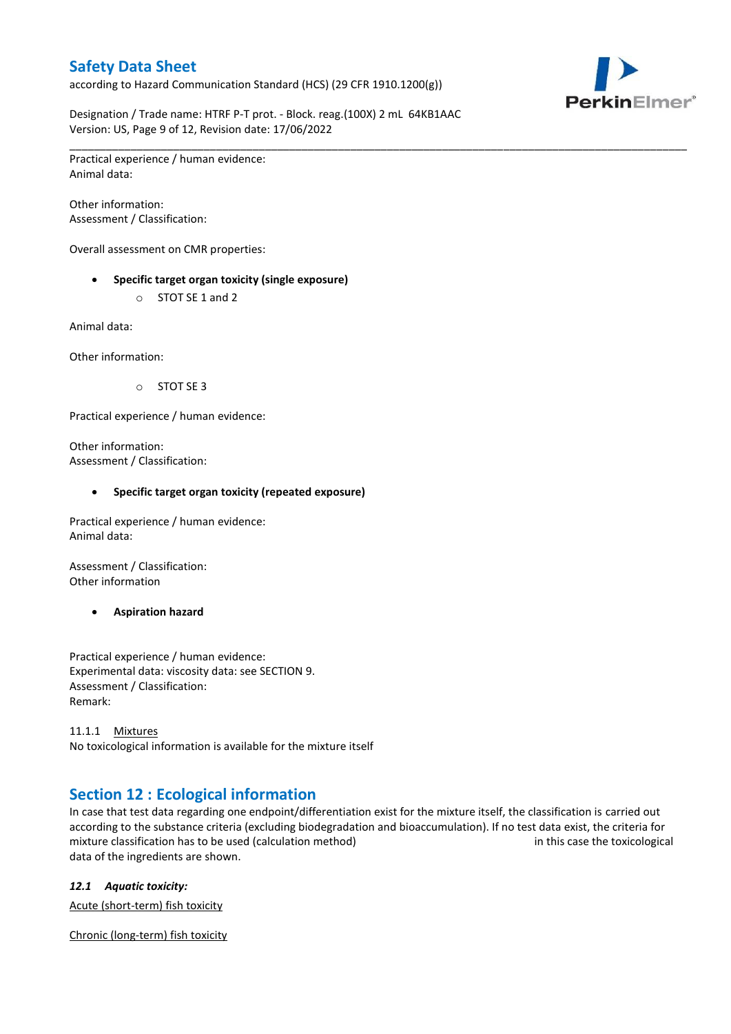according to Hazard Communication Standard (HCS) (29 CFR 1910.1200(g))



Designation / Trade name: HTRF P-T prot. - Block. reag.(100X) 2 mL 64KB1AAC Version: US, Page 9 of 12, Revision date: 17/06/2022

\_\_\_\_\_\_\_\_\_\_\_\_\_\_\_\_\_\_\_\_\_\_\_\_\_\_\_\_\_\_\_\_\_\_\_\_\_\_\_\_\_\_\_\_\_\_\_\_\_\_\_\_\_\_\_\_\_\_\_\_\_\_\_\_\_\_\_\_\_\_\_\_\_\_\_\_\_\_\_\_\_\_\_\_\_\_\_\_\_\_\_\_\_\_\_\_\_\_\_\_\_

Practical experience / human evidence: Animal data:

Other information: Assessment / Classification:

Overall assessment on CMR properties:

- **Specific target organ toxicity (single exposure)**
	- o STOT SE 1 and 2

Animal data:

Other information:

o STOT SE 3

Practical experience / human evidence:

Other information: Assessment / Classification:

### **Specific target organ toxicity (repeated exposure)**

Practical experience / human evidence: Animal data:

Assessment / Classification: Other information

**Aspiration hazard**

Practical experience / human evidence: Experimental data: viscosity data: see SECTION 9. Assessment / Classification: Remark:

11.1.1 Mixtures No toxicological information is available for the mixture itself

## **Section 12 : Ecological information**

In case that test data regarding one endpoint/differentiation exist for the mixture itself, the classification is carried out according to the substance criteria (excluding biodegradation and bioaccumulation). If no test data exist, the criteria for mixture classification has to be used (calculation method) in this case the toxicological data of the ingredients are shown.

## *12.1 Aquatic toxicity:*

Acute (short-term) fish toxicity

Chronic (long-term) fish toxicity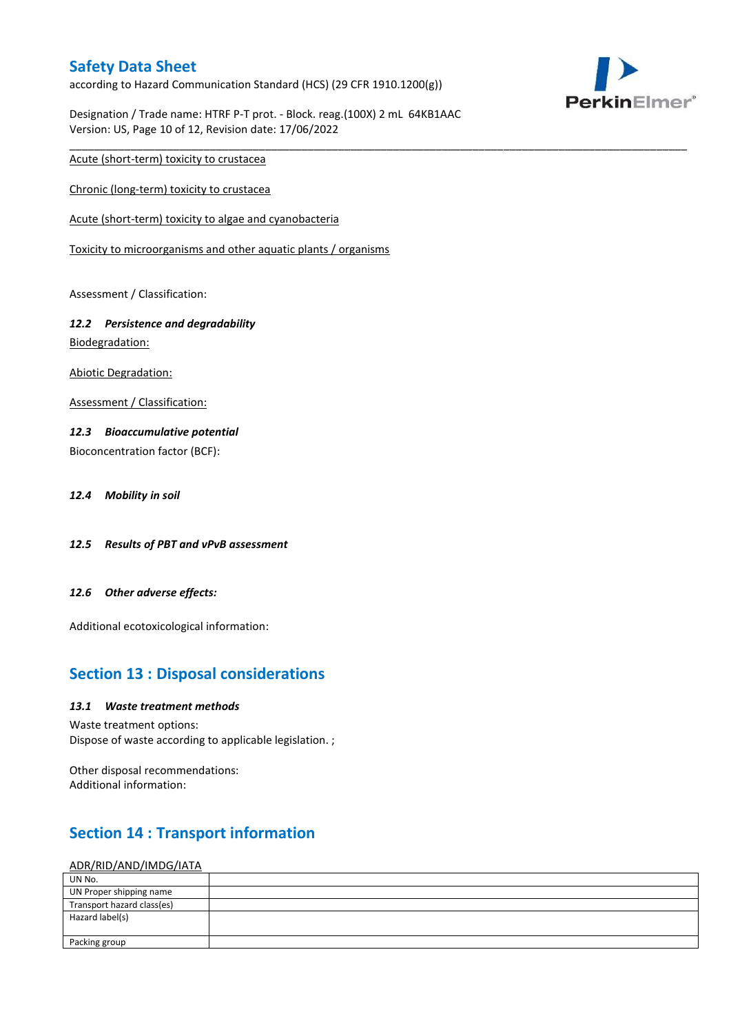according to Hazard Communication Standard (HCS) (29 CFR 1910.1200(g))



Designation / Trade name: HTRF P-T prot. - Block. reag.(100X) 2 mL 64KB1AAC Version: US, Page 10 of 12, Revision date: 17/06/2022

\_\_\_\_\_\_\_\_\_\_\_\_\_\_\_\_\_\_\_\_\_\_\_\_\_\_\_\_\_\_\_\_\_\_\_\_\_\_\_\_\_\_\_\_\_\_\_\_\_\_\_\_\_\_\_\_\_\_\_\_\_\_\_\_\_\_\_\_\_\_\_\_\_\_\_\_\_\_\_\_\_\_\_\_\_\_\_\_\_\_\_\_\_\_\_\_\_\_\_\_\_

Acute (short-term) toxicity to crustacea

Chronic (long-term) toxicity to crustacea

Acute (short-term) toxicity to algae and cyanobacteria

Toxicity to microorganisms and other aquatic plants / organisms

Assessment / Classification:

## *12.2 Persistence and degradability*

Biodegradation:

Abiotic Degradation:

Assessment / Classification:

### *12.3 Bioaccumulative potential*

Bioconcentration factor (BCF):

*12.4 Mobility in soil*

- *12.5 Results of PBT and vPvB assessment*
- *12.6 Other adverse effects:*

Additional ecotoxicological information:

## **Section 13 : Disposal considerations**

### *13.1 Waste treatment methods*

Waste treatment options: Dispose of waste according to applicable legislation. ;

Other disposal recommendations: Additional information:

## **Section 14 : Transport information**

### ADR/RID/AND/IMDG/IATA

| UN No.                     |  |
|----------------------------|--|
| UN Proper shipping name    |  |
| Transport hazard class(es) |  |
| Hazard label(s)            |  |
|                            |  |
| Packing group              |  |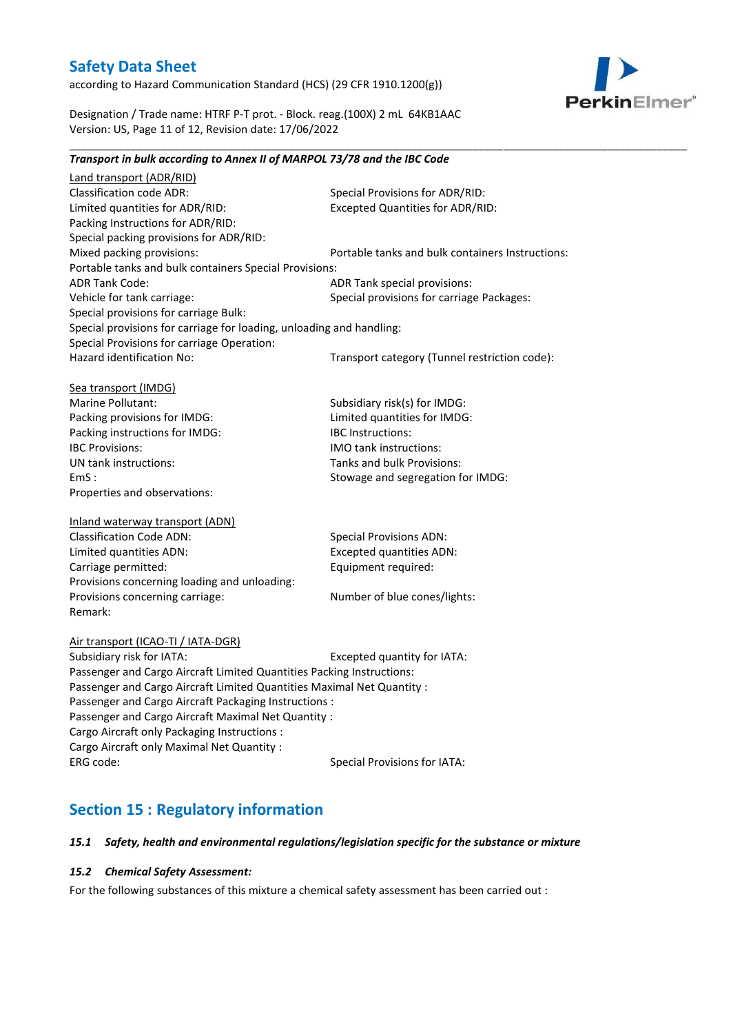according to Hazard Communication Standard (HCS) (29 CFR 1910.1200(g))



Designation / Trade name: HTRF P-T prot. - Block. reag.(100X) 2 mL 64KB1AAC Version: US, Page 11 of 12, Revision date: 17/06/2022

#### \_\_\_\_\_\_\_\_\_\_\_\_\_\_\_\_\_\_\_\_\_\_\_\_\_\_\_\_\_\_\_\_\_\_\_\_\_\_\_\_\_\_\_\_\_\_\_\_\_\_\_\_\_\_\_\_\_\_\_\_\_\_\_\_\_\_\_\_\_\_\_\_\_\_\_\_\_\_\_\_\_\_\_\_\_\_\_\_\_\_\_\_\_\_\_\_\_\_\_\_\_ *Transport in bulk according to Annex II of MARPOL 73/78 and the IBC Code*

Land transport (ADR/RID) Classification code ADR: Special Provisions for ADR/RID:<br>
Limited quantities for ADR/RID: Excepted Quantities for ADR/RI Excepted Quantities for ADR/RID: Packing Instructions for ADR/RID: Special packing provisions for ADR/RID: Mixed packing provisions: Portable tanks and bulk containers Instructions: Portable tanks and bulk containers Special Provisions: ADR Tank Code: ADR Tank special provisions: Vehicle for tank carriage:  $S$  Special provisions for carriage Packages: Special provisions for carriage Bulk: Special provisions for carriage for loading, unloading and handling: Special Provisions for carriage Operation: Hazard identification No: Transport category (Tunnel restriction code): Sea transport (IMDG) Marine Pollutant: Subsidiary risk(s) for IMDG: Packing provisions for IMDG: Limited quantities for IMDG: Packing instructions for IMDG: IBC Instructions: IBC Provisions: IMO tank instructions: UN tank instructions: Tanks and bulk Provisions: EmS : Stowage and segregation for IMDG: Properties and observations: Inland waterway transport (ADN) Classification Code ADN: Special Provisions ADN: Limited quantities ADN: Excepted quantities ADN: Carriage permitted: Carriage permitted: Provisions concerning loading and unloading: Provisions concerning carriage: Number of blue cones/lights: Remark: Air transport (ICAO-TI / IATA-DGR) Subsidiary risk for IATA: Excepted quantity for IATA: Passenger and Cargo Aircraft Limited Quantities Packing Instructions: Passenger and Cargo Aircraft Limited Quantities Maximal Net Quantity : Passenger and Cargo Aircraft Packaging Instructions : Passenger and Cargo Aircraft Maximal Net Quantity : Cargo Aircraft only Packaging Instructions : Cargo Aircraft only Maximal Net Quantity : ERG code: Special Provisions for IATA:

## **Section 15 : Regulatory information**

### *15.1 Safety, health and environmental regulations/legislation specific for the substance or mixture*

### *15.2 Chemical Safety Assessment:*

For the following substances of this mixture a chemical safety assessment has been carried out :